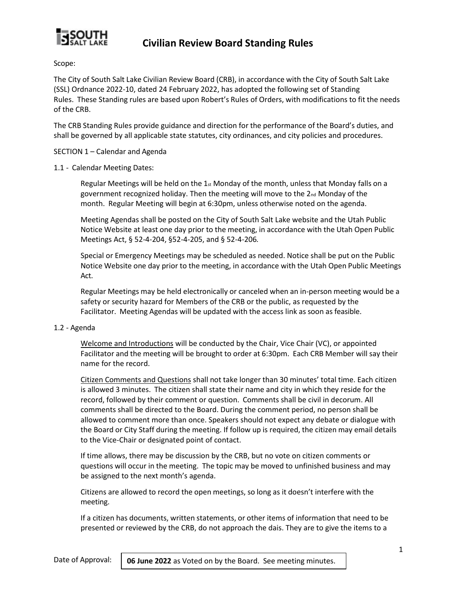

Scope:

The City of South Salt Lake Civilian Review Board (CRB), in accordance with the City of South Salt Lake (SSL) Ordnance 2022-10, dated 24 February 2022, has adopted the following set of Standing Rules. These Standing rules are based upon Robert's Rules of Orders, with modifications to fit the needs of the CRB.

The CRB Standing Rules provide guidance and direction for the performance of the Board's duties, and shall be governed by all applicable state statutes, city ordinances, and city policies and procedures.

SECTION 1 – Calendar and Agenda

#### 1.1 - Calendar Meeting Dates:

Regular Meetings will be held on the  $1<sub>st</sub>$  Monday of the month, unless that Monday falls on a government recognized holiday. Then the meeting will move to the  $2<sub>nd</sub>$  Monday of the month. Regular Meeting will begin at 6:30pm, unless otherwise noted on the agenda.

Meeting Agendas shall be posted on the City of South Salt Lake website and the Utah Public Notice Website at least one day prior to the meeting, in accordance with the Utah Open Public Meetings Act, § 52-4-204, §52-4-205, and § 52-4-206*.*

Special or Emergency Meetings may be scheduled as needed. Notice shall be put on the Public Notice Website one day prior to the meeting, in accordance with the Utah Open Public Meetings Act.

Regular Meetings may be held electronically or canceled when an in-person meeting would be a safety or security hazard for Members of the CRB or the public, as requested by the Facilitator. Meeting Agendas will be updated with the access link as soon as feasible.

#### 1.2 - Agenda

Welcome and Introductions will be conducted by the Chair, Vice Chair (VC), or appointed Facilitator and the meeting will be brought to order at 6:30pm. Each CRB Member will say their name for the record.

Citizen Comments and Questions shall not take longer than 30 minutes' total time. Each citizen is allowed 3 minutes. The citizen shall state their name and city in which they reside for the record, followed by their comment or question. Comments shall be civil in decorum. All comments shall be directed to the Board. During the comment period, no person shall be allowed to comment more than once. Speakers should not expect any debate or dialogue with the Board or City Staff during the meeting. If follow up is required, the citizen may email details to the Vice-Chair or designated point of contact.

If time allows, there may be discussion by the CRB, but no vote on citizen comments or questions will occur in the meeting. The topic may be moved to unfinished business and may be assigned to the next month's agenda.

Citizens are allowed to record the open meetings, so long as it doesn't interfere with the meeting.

If a citizen has documents, written statements, or other items of information that need to be presented or reviewed by the CRB, do not approach the dais. They are to give the items to a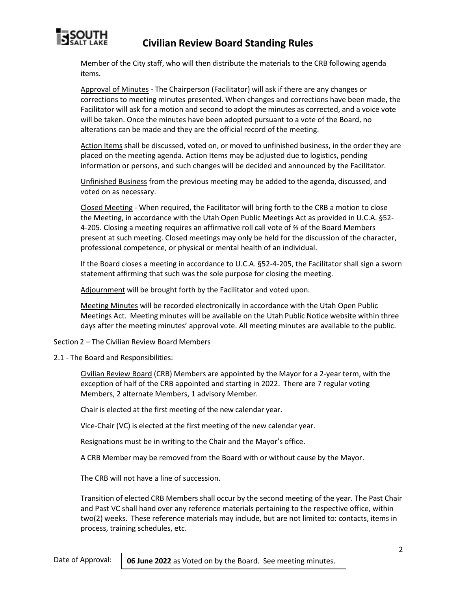

Member of the City staff, who will then distribute the materials to the CRB following agenda items.

Approval of Minutes - The Chairperson (Facilitator) will ask if there are any changes or corrections to meeting minutes presented. When changes and corrections have been made, the Facilitator will ask for a motion and second to adopt the minutes as corrected, and a voice vote will be taken. Once the minutes have been adopted pursuant to a vote of the Board, no alterations can be made and they are the official record of the meeting.

Action Items shall be discussed, voted on, or moved to unfinished business, in the order they are placed on the meeting agenda. Action Items may be adjusted due to logistics, pending information or persons, and such changes will be decided and announced by the Facilitator.

Unfinished Business from the previous meeting may be added to the agenda, discussed, and voted on as necessary.

Closed Meeting - When required, the Facilitator will bring forth to the CRB a motion to close the Meeting, in accordance with the Utah Open Public Meetings Act as provided in U.C.A. §52- 4-205. Closing a meeting requires an affirmative roll call vote of ⅔ of the Board Members present at such meeting. Closed meetings may only be held for the discussion of the character, professional competence, or physical or mental health of an individual.

If the Board closes a meeting in accordance to U.C.A. §52-4-205, the Facilitator shall sign a sworn statement affirming that such was the sole purpose for closing the meeting.

Adjournment will be brought forth by the Facilitator and voted upon.

Meeting Minutes will be recorded electronically in accordance with the Utah Open Public Meetings Act. Meeting minutes will be available on the Utah Public Notice website within three days after the meeting minutes' approval vote. All meeting minutes are available to the public.

Section 2 – The Civilian Review Board Members

2.1 - The Board and Responsibilities:

Civilian Review Board (CRB) Members are appointed by the Mayor for a 2-year term, with the exception of half of the CRB appointed and starting in 2022. There are 7 regular voting Members, 2 alternate Members, 1 advisory Member.

Chair is elected at the first meeting of the new calendar year.

Vice-Chair (VC) is elected at the first meeting of the new calendar year.

Resignations must be in writing to the Chair and the Mayor's office.

A CRB Member may be removed from the Board with or without cause by the Mayor.

The CRB will not have a line of succession.

Transition of elected CRB Members shall occur by the second meeting of the year. The Past Chair and Past VC shall hand over any reference materials pertaining to the respective office, within two(2) weeks. These reference materials may include, but are not limited to: contacts, items in process, training schedules, etc.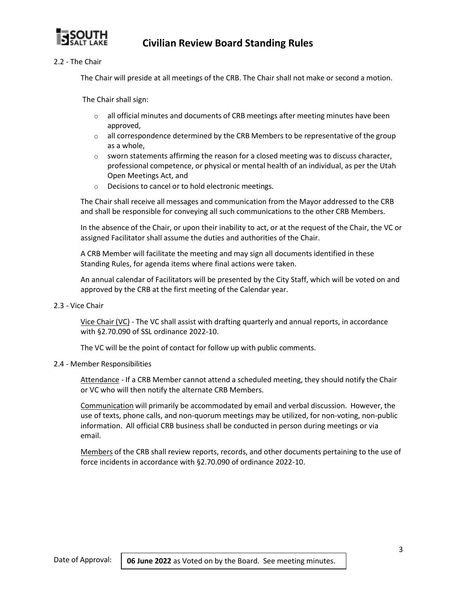

2.2 - The Chair

The Chair will preside at all meetings of the CRB. The Chair shall not make or second a motion.

The Chair shall sign:

- $\circ$  all official minutes and documents of CRB meetings after meeting minutes have been approved,
- $\circ$  all correspondence determined by the CRB Members to be representative of the group as a whole,
- $\circ$  sworn statements affirming the reason for a closed meeting was to discuss character, professional competence, or physical or mental health of an individual, as per the Utah Open Meetings Act, and
- o Decisions to cancel or to hold electronic meetings.

The Chair shall receive all messages and communication from the Mayor addressed to the CRB and shall be responsible for conveying all such communications to the other CRB Members.

In the absence of the Chair, or upon their inability to act, or at the request of the Chair, the VC or assigned Facilitator shall assume the duties and authorities of the Chair.

A CRB Member will facilitate the meeting and may sign all documents identified in these Standing Rules, for agenda items where final actions were taken.

An annual calendar of Facilitators will be presented by the City Staff, which will be voted on and approved by the CRB at the first meeting of the Calendar year.

2.3 - Vice Chair

Vice Chair (VC) - The VC shall assist with drafting quarterly and annual reports, in accordance with §2.70.090 of SSL ordinance 2022-10.

The VC will be the point of contact for follow up with public comments.

### 2.4 - Member Responsibilities

Attendance - If a CRB Member cannot attend a scheduled meeting, they should notify the Chair or VC who will then notify the alternate CRB Members.

Communication will primarily be accommodated by email and verbal discussion. However, the use of texts, phone calls, and non-quorum meetings may be utilized, for non-voting, non-public information. All official CRB business shall be conducted in person during meetings or via email.

Members of the CRB shall review reports, records, and other documents pertaining to the use of force incidents in accordance with §2.70.090 of ordinance 2022-10.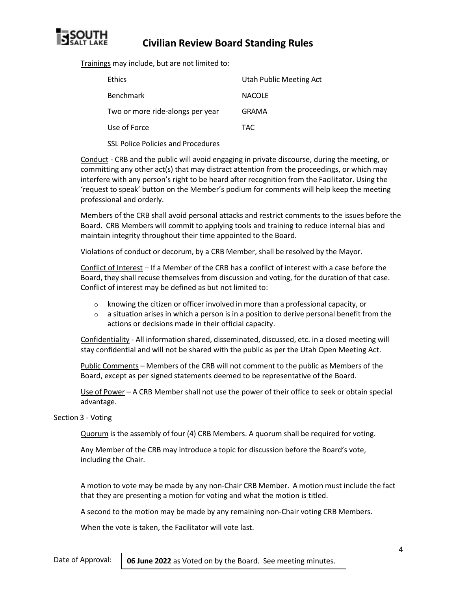

Trainings may include, but are not limited to:

| <b>Ethics</b>                    | Utah Public Meeting Act |
|----------------------------------|-------------------------|
| <b>Benchmark</b>                 | <b>NACOLE</b>           |
| Two or more ride-alongs per year | GRAMA                   |
| Use of Force                     | TAC                     |
|                                  |                         |

SSL Police Policies and Procedures

Conduct - CRB and the public will avoid engaging in private discourse, during the meeting, or committing any other act(s) that may distract attention from the proceedings, or which may interfere with any person's right to be heard after recognition from the Facilitator. Using the 'request to speak' button on the Member's podium for comments will help keep the meeting professional and orderly.

Members of the CRB shall avoid personal attacks and restrict comments to the issues before the Board. CRB Members will commit to applying tools and training to reduce internal bias and maintain integrity throughout their time appointed to the Board.

Violations of conduct or decorum, by a CRB Member, shall be resolved by the Mayor.

Conflict of Interest – If a Member of the CRB has a conflict of interest with a case before the Board, they shall recuse themselves from discussion and voting, for the duration of that case. Conflict of interest may be defined as but not limited to:

- $\circ$  knowing the citizen or officer involved in more than a professional capacity, or
- $\circ$  a situation arises in which a person is in a position to derive personal benefit from the actions or decisions made in their official capacity.

Confidentiality - All information shared, disseminated, discussed, etc. in a closed meeting will stay confidential and will not be shared with the public as per the Utah Open Meeting Act.

Public Comments – Members of the CRB will not comment to the public as Members of the Board, except as per signed statements deemed to be representative of the Board.

Use of Power – A CRB Member shall not use the power of their office to seek or obtain special advantage.

#### Section 3 - Voting

Quorum is the assembly of four (4) CRB Members. A quorum shall be required for voting.

Any Member of the CRB may introduce a topic for discussion before the Board's vote, including the Chair.

A motion to vote may be made by any non-Chair CRB Member. A motion must include the fact that they are presenting a motion for voting and what the motion is titled.

A second to the motion may be made by any remaining non-Chair voting CRB Members.

When the vote is taken, the Facilitator will vote last.